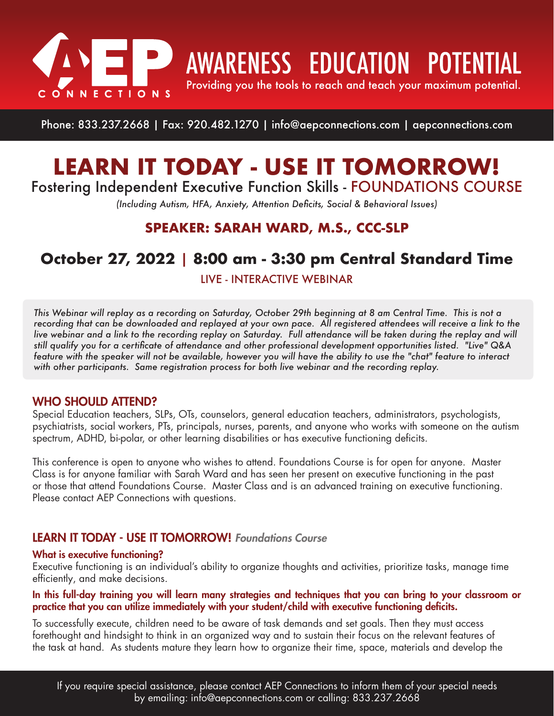

**AWARENESS EDUCATION POTENTIAL** 

Providing you the tools to reach and teach your maximum potential.

Phone: 833.237.2668 | Fax: 920.482.1270 | info@aepconnections.com | aepconnections.com

# **LEARN IT TODAY - USE IT TOMORROW!** Fostering Independent Executive Function Skills - FOUNDATIONS COURSE

*(Including Autism, HFA, Anxiety, Attention Deficits, Social & Behavioral Issues)*

## **SPEAKER: SARAH WARD, M.S., CCC-SLP**

## **October 27, 2022** | **8:00 am - 3:30 pm Central Standard Time**

LIVE - INTERACTIVE WEBINAR

*This Webinar will replay as a recording on Saturday, October 29th beginning at 8 am Central Time. This is not a recording that can be downloaded and replayed at your own pace. All registered attendees will receive a link to the live webinar and a link to the recording replay on Saturday. Full attendance will be taken during the replay and will still qualify you for a certificate of attendance and other professional development opportunities listed. "Live" Q&A feature with the speaker will not be available, however you will have the ability to use the "chat" feature to interact with other participants. Same registration process for both live webinar and the recording replay.*

### WHO SHOULD ATTEND?

Special Education teachers, SLPs, OTs, counselors, general education teachers, administrators, psychologists, psychiatrists, social workers, PTs, principals, nurses, parents, and anyone who works with someone on the autism spectrum, ADHD, bi-polar, or other learning disabilities or has executive functioning deficits.

This conference is open to anyone who wishes to attend. Foundations Course is for open for anyone. Master Class is for anyone familiar with Sarah Ward and has seen her present on executive functioning in the past or those that attend Foundations Course. Master Class and is an advanced training on executive functioning. Please contact AEP Connections with questions.

### LEARN IT TODAY - USE IT TOMORROW! *Foundations Course*

#### What is executive functioning?

Executive functioning is an individual's ability to organize thoughts and activities, prioritize tasks, manage time efficiently, and make decisions.

#### In this full-day training you will learn many strategies and techniques that you can bring to your classroom or practice that you can utilize immediately with your student/child with executive functioning deficits.

To successfully execute, children need to be aware of task demands and set goals. Then they must access forethought and hindsight to think in an organized way and to sustain their focus on the relevant features of the task at hand. As students mature they learn how to organize their time, space, materials and develop the

If you require special assistance, please contact AEP Connections to inform them of your special needs by emailing: info@aepconnections.com or calling: 833.237.2668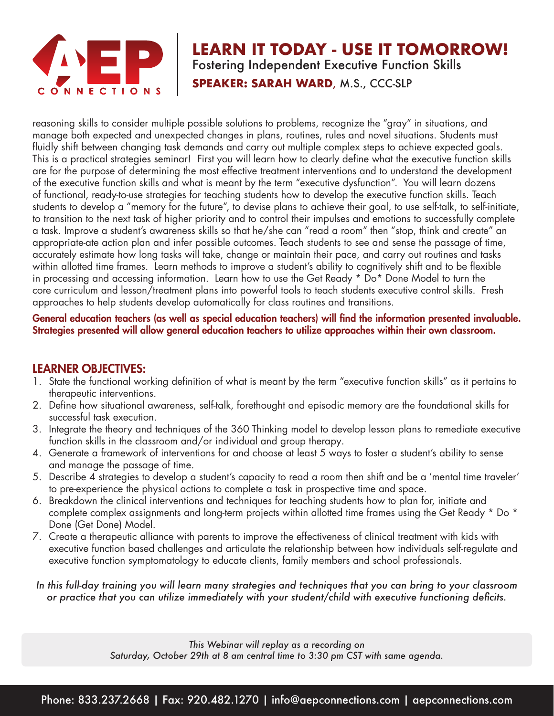

## **LEARN IT TODAY - USE IT TOMORROW!** Fostering Independent Executive Function Skills **SPEAKER: SARAH WARD**, M.S., CCC-SLP

reasoning skills to consider multiple possible solutions to problems, recognize the "gray" in situations, and manage both expected and unexpected changes in plans, routines, rules and novel situations. Students must fluidly shift between changing task demands and carry out multiple complex steps to achieve expected goals. This is a practical strategies seminar! First you will learn how to clearly define what the executive function skills are for the purpose of determining the most effective treatment interventions and to understand the development of the executive function skills and what is meant by the term "executive dysfunction". You will learn dozens of functional, ready-to-use strategies for teaching students how to develop the executive function skills. Teach students to develop a "memory for the future", to devise plans to achieve their goal, to use self-talk, to self-initiate, to transition to the next task of higher priority and to control their impulses and emotions to successfully complete a task. Improve a student's awareness skills so that he/she can "read a room" then "stop, think and create" an appropriate-ate action plan and infer possible outcomes. Teach students to see and sense the passage of time, accurately estimate how long tasks will take, change or maintain their pace, and carry out routines and tasks within allotted time frames. Learn methods to improve a student's ability to cognitively shift and to be flexible in processing and accessing information. Learn how to use the Get Ready \* Do\* Done Model to turn the core curriculum and lesson/treatment plans into powerful tools to teach students executive control skills. Fresh approaches to help students develop automatically for class routines and transitions.

General education teachers (as well as special education teachers) will find the information presented invaluable. Strategies presented will allow general education teachers to utilize approaches within their own classroom.

## LEARNER OBJECTIVES:

- 1. State the functional working definition of what is meant by the term "executive function skills" as it pertains to therapeutic interventions.
- 2. Define how situational awareness, self-talk, forethought and episodic memory are the foundational skills for successful task execution.
- 3. Integrate the theory and techniques of the 360 Thinking model to develop lesson plans to remediate executive function skills in the classroom and/or individual and group therapy.
- 4. Generate a framework of interventions for and choose at least 5 ways to foster a student's ability to sense and manage the passage of time.
- 5. Describe 4 strategies to develop a student's capacity to read a room then shift and be a 'mental time traveler' to pre-experience the physical actions to complete a task in prospective time and space.
- 6. Breakdown the clinical interventions and techniques for teaching students how to plan for, initiate and complete complex assignments and long-term projects within allotted time frames using the Get Ready \* Do \* Done (Get Done) Model.
- 7. Create a therapeutic alliance with parents to improve the effectiveness of clinical treatment with kids with executive function based challenges and articulate the relationship between how individuals self-regulate and executive function symptomatology to educate clients, family members and school professionals.
- *In this full-day training you will learn many strategies and techniques that you can bring to your classroom or practice that you can utilize immediately with your student/child with executive functioning deficits.*

*This Webinar will replay as a recording on Saturday, October 29th at 8 am central time to 3:30 pm CST with same agenda.*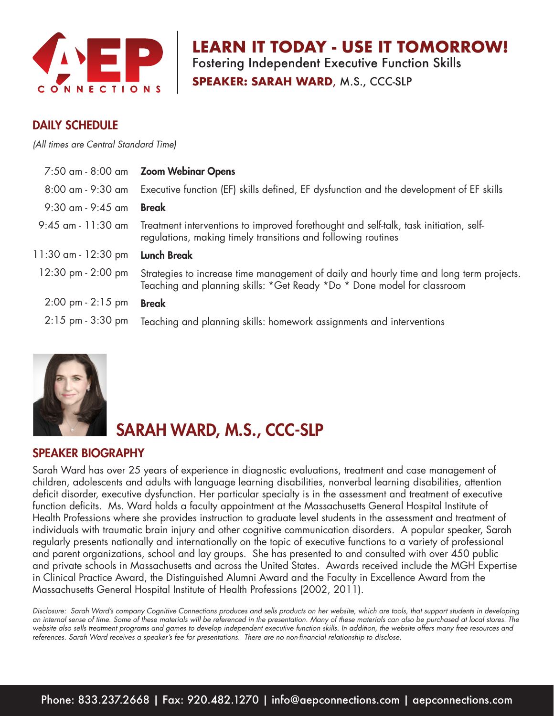

**N IT TODAY - USE IT TOMORROW!** Fostering Independent Executive Function Skills

**SPEAKER: SARAH WARD**, M.S., CCC-SLP

### DAILY SCHEDULE

*(All times are Central Standard Time)*

|                                     | 7:50 am - 8:00 am Zoom Webinar Opens                                                                                                                               |
|-------------------------------------|--------------------------------------------------------------------------------------------------------------------------------------------------------------------|
| 8:00 am - 9:30 am                   | Executive function (EF) skills defined, EF dysfunction and the development of EF skills                                                                            |
| $9:30$ am - $9:45$ am               | <b>Break</b>                                                                                                                                                       |
| 9:45 am - 11:30 am                  | Treatment interventions to improved forethought and self-talk, task initiation, self-<br>regulations, making timely transitions and following routines             |
|                                     |                                                                                                                                                                    |
| 11:30 am - 12:30 pm                 | <b>Lunch Break</b>                                                                                                                                                 |
| 12:30 pm - 2:00 pm                  | Strategies to increase time management of daily and hourly time and long term projects.<br>Teaching and planning skills: *Get Ready *Do * Done model for classroom |
| $2:00 \text{ pm} - 2:15 \text{ pm}$ | <b>Break</b>                                                                                                                                                       |



## SARAH WARD, M.S., CCC-SLP

#### SPEAKER BIOGRAPHY

Sarah Ward has over 25 years of experience in diagnostic evaluations, treatment and case management of children, adolescents and adults with language learning disabilities, nonverbal learning disabilities, attention deficit disorder, executive dysfunction. Her particular specialty is in the assessment and treatment of executive function deficits. Ms. Ward holds a faculty appointment at the Massachusetts General Hospital Institute of Health Professions where she provides instruction to graduate level students in the assessment and treatment of individuals with traumatic brain injury and other cognitive communication disorders. A popular speaker, Sarah regularly presents nationally and internationally on the topic of executive functions to a variety of professional and parent organizations, school and lay groups. She has presented to and consulted with over 450 public and private schools in Massachusetts and across the United States. Awards received include the MGH Expertise in Clinical Practice Award, the Distinguished Alumni Award and the Faculty in Excellence Award from the Massachusetts General Hospital Institute of Health Professions (2002, 2011).

*Disclosure: Sarah Ward's company Cognitive Connections produces and sells products on her website, which are tools, that support students in developing an internal sense of time. Some of these materials will be referenced in the presentation. Many of these materials can also be purchased at local stores. The website also sells treatment programs and games to develop independent executive function skills. In addition, the website offers many free resources and*  references. Sarah Ward receives a speaker's fee for presentations. There are no non-financial relationship to disclose.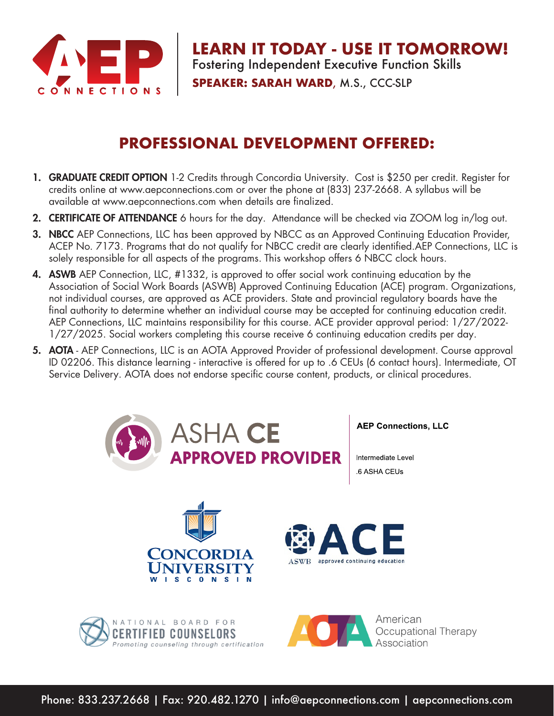

**LEARN IT TODAY - USE IT TOMORROW!** Fostering Independent Executive Function Skills **SPEAKER: SARAH WARD**, M.S., CCC-SLP

## **PROFESSIONAL DEVELOPMENT OFFERED:**

- 1. GRADUATE CREDIT OPTION 1-2 Credits through Concordia University. Cost is \$250 per credit. Register for credits online at www.aepconnections.com or over the phone at (833) 237-2668. A syllabus will be available at www.aepconnections.com when details are finalized.
- 2. CERTIFICATE OF ATTENDANCE 6 hours for the day. Attendance will be checked via ZOOM log in/log out.
- **3. NBCC** AEP Connections, LLC has been approved by NBCC as an Approved Continuing Education Provider, ACEP No. 7173. Programs that do not qualify for NBCC credit are clearly identified.AEP Connections, LLC is solely responsible for all aspects of the programs. This workshop offers 6 NBCC clock hours.
- 4. ASWB AEP Connection, LLC, #1332, is approved to offer social work continuing education by the Association of Social Work Boards (ASWB) Approved Continuing Education (ACE) program. Organizations, not individual courses, are approved as ACE providers. State and provincial regulatory boards have the final authority to determine whether an individual course may be accepted for continuing education credit. AEP Connections, LLC maintains responsibility for this course. ACE provider approval period: 1/27/2022- 1/27/2025. Social workers completing this course receive 6 continuing education credits per day.
- 5. AOTA AEP Connections, LLC is an AOTA Approved Provider of professional development. Course approval ID 02206. This distance learning - interactive is offered for up to .6 CEUs (6 contact hours). Intermediate, OT Service Delivery. AOTA does not endorse specific course content, products, or clinical procedures.



Phone: 833.237.2668 | Fax: 920.482.1270 | info@aepconnections.com | aepconnections.com